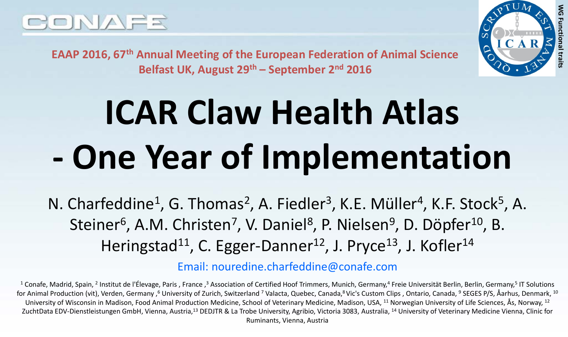

**WG Functional traits**

**EAAP 2016, 67th Annual Meeting of the European Federation of Animal Science Belfast UK, August 29th – September 2nd 2016**

# **ICAR Claw Health Atlas - One Year of Implementation**

N. Charfeddine<sup>1</sup>, G. Thomas<sup>2</sup>, A. Fiedler<sup>3</sup>, K.E. Müller<sup>4</sup>, K.F. Stock<sup>5</sup>, A. Steiner<sup>6</sup>, A.M. Christen<sup>7</sup>, V. Daniel<sup>8</sup>, P. Nielsen<sup>9</sup>, D. Döpfer<sup>10</sup>, B. Heringstad<sup>11</sup>, C. Egger-Danner<sup>12</sup>, J. Pryce<sup>13</sup>, J. Kofler<sup>14</sup>

Email: nouredine.charfeddine@conafe.com

<sup>1</sup> Conafe, Madrid, Spain, <sup>2</sup> Institut de l'Élevage, Paris , France ,<sup>3</sup> Association of Certified Hoof Trimmers, Munich, Germany,<sup>4</sup> Freie Universität Berlin, Berlin, Germany,<sup>5</sup> IT Solutions for Animal Production (vit), Verden, Germany, <sup>6</sup> University of Zurich, Switzerland <sup>7</sup> Valacta, Quebec, Canada, <sup>8</sup> Vic's Custom Clips, Ontario, Canada, <sup>9</sup> SEGES P/S, Åarhus, Denmark, <sup>10</sup> University of Wisconsin in Madison, Food Animal Production Medicine, School of Veterinary Medicine, Madison, USA, <sup>11</sup> Norwegian University of Life Sciences, Ås, Norway, <sup>12</sup> ZuchtData EDV-Dienstleistungen GmbH, Vienna, Austria,<sup>13</sup> DEDJTR & La Trobe University, Agribio, Victoria 3083, Australia, <sup>14</sup> University of Veterinary Medicine Vienna, Clinic for Ruminants, Vienna, Austria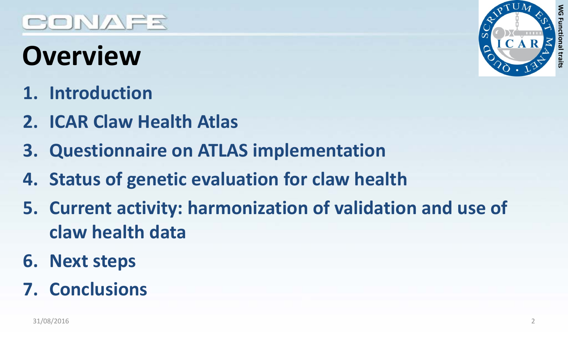## **Overview**

- **1. Introduction**
- **2. ICAR Claw Health Atlas**
- **3. Questionnaire on ATLAS implementation**
- **4. Status of genetic evaluation for claw health**
- **5. Current activity: harmonization of validation and use of claw health data**
- **6. Next steps**

#### **7. Conclusions**



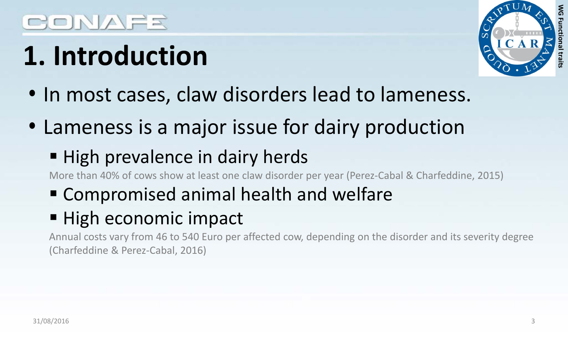# **1. Introduction**



- In most cases, claw disorders lead to lameness.
- Lameness is a major issue for dairy production

#### ■ High prevalence in dairy herds

More than 40% of cows show at least one claw disorder per year (Perez-Cabal & Charfeddine, 2015)

Compromised animal health and welfare

#### **High economic impact**

Annual costs vary from 46 to 540 Euro per affected cow, depending on the disorder and its severity degree (Charfeddine & Perez-Cabal, 2016)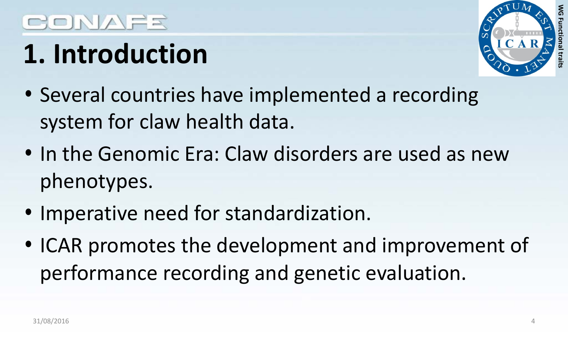## CONAER

# **1. Introduction**



- Several countries have implemented a recording system for claw health data.
- In the Genomic Era: Claw disorders are used as new phenotypes.
- Imperative need for standardization.
- ICAR promotes the development and improvement of performance recording and genetic evaluation.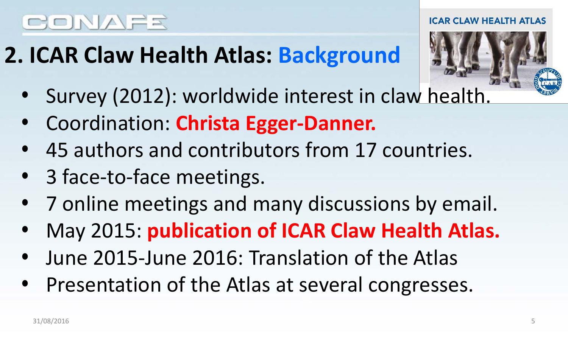## **2. ICAR Claw Health Atlas: Background**



ICAR CLAW HEALTH ATLAS

- Survey (2012): worldwide interest in claw health.
- Coordination: **Christa Egger-Danner.**
- 45 authors and contributors from 17 countries.
- 3 face-to-face meetings.
- 7 online meetings and many discussions by email.
- May 2015: **publication of ICAR Claw Health Atlas.**
- June 2015-June 2016: Translation of the Atlas
- Presentation of the Atlas at several congresses.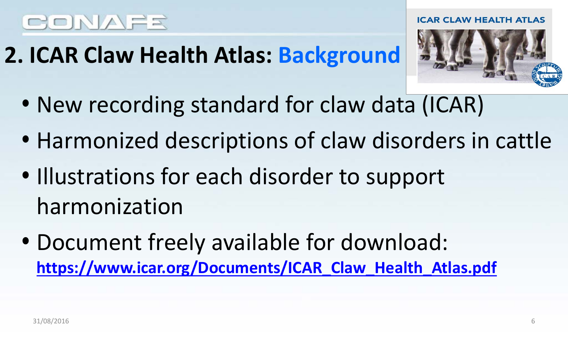## **2. ICAR Claw Health Atlas: Background**



- New recording standard for claw data (ICAR)
- Harmonized descriptions of claw disorders in cattle
- Illustrations for each disorder to support harmonization
- Document freely available for download: **[https://www.icar.org/Documents/ICAR\\_Claw\\_Health\\_Atlas.pdf](https://www.icar.org/Documents/ICAR_Claw_Health_Atlas.pdf)**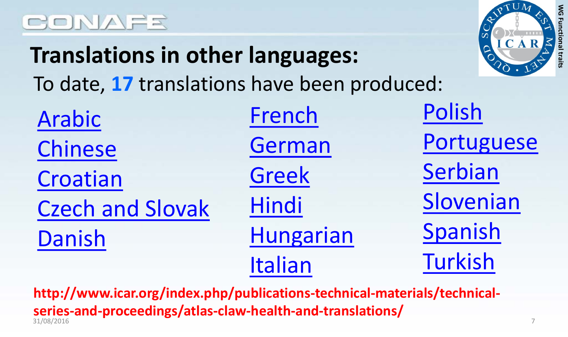## **Translations in other languages:** To date, **17** translations have been produced:



| Arabic                  | <b>French</b>    | Polish     |
|-------------------------|------------------|------------|
| Chinese                 | German           | Portuguese |
| Croatian                | Greek            | Serbian    |
| <b>Czech and Slovak</b> | Hindi            | Slovenian  |
| Danish                  | <b>Hungarian</b> | Spanish    |
|                         | Italian          | Turkish    |

31/08/2016 7 **http://www.icar.org/index.php/publications-technical-materials/technicalseries-and-proceedings/atlas-claw-health-and-translations/**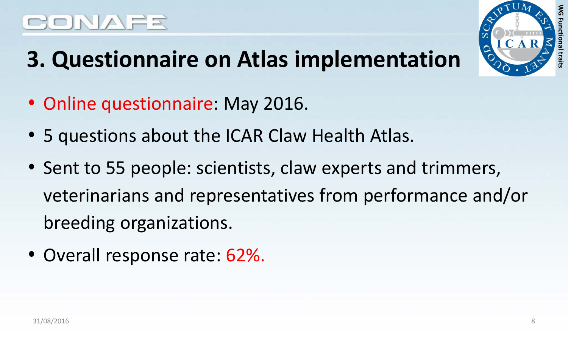## **3. Questionnaire on Atlas implementation**



- Online questionnaire: May 2016.
- 5 questions about the ICAR Claw Health Atlas.
- Sent to 55 people: scientists, claw experts and trimmers, veterinarians and representatives from performance and/or breeding organizations.
- Overall response rate: 62%.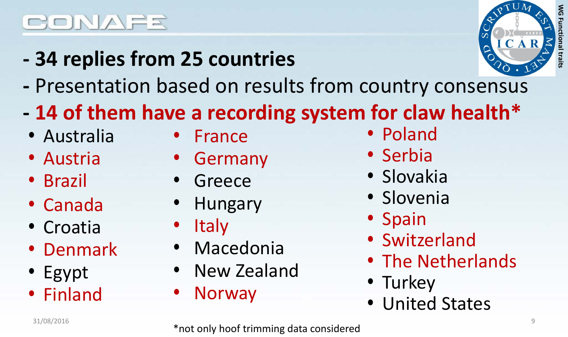**- 34 replies from 25 countries** 



- **-** Presentation based on results from country consensus
- **- 14 of them have a recording system for claw health\***
- Australia
- Austria
- Brazil
- Canada
- Croatia
- Denmark
- Egypt
- Finland
- France
- Germany
- **Greece**
- Hungary
- Italy
- Macedonia
- New Zealand
- Norway
- Poland
- Serbia
- Slovakia
- Slovenia
- Spain
- Switzerland
- The Netherlands
- Turkey
- United States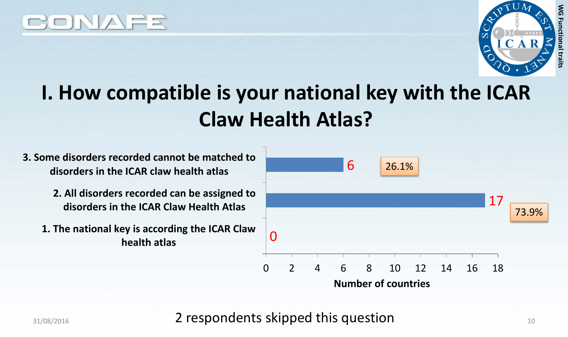



## **I. How compatible is your national key with the ICAR Claw Health Atlas?**

**3. Some disorders recorded cannot be matched to disorders in the ICAR claw health atlas**

- **2. All disorders recorded can be assigned to disorders in the ICAR Claw Health Atlas**
- **1. The national key is according the ICAR Claw health atlas**



31/08/2016 **2 respondents skipped this question** 10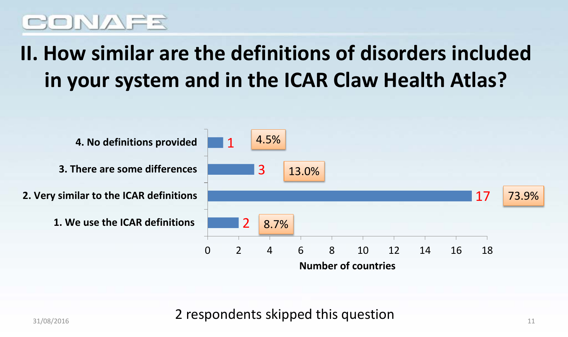## **II. How similar are the definitions of disorders included in your system and in the ICAR Claw Health Atlas?**



31/08/2016 **2 respondents skipped this question**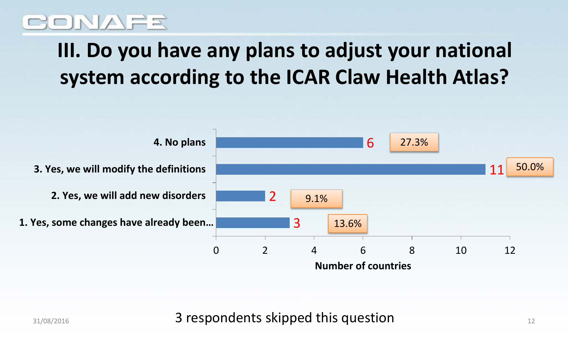#### NAER

## **III. Do you have any plans to adjust your national system according to the ICAR Claw Health Atlas?**



31/08/2016 **31/08/2016** 3 **3 respondents skipped this question**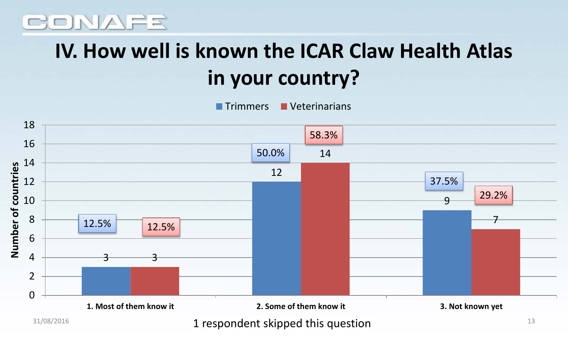#### ONAFR

## **IV. How well is known the ICAR Claw Health Atlas in your country?**

**Trimmers Veterinarians** 



 $31/08/2016$   $1$  respondent skipped this question  $13$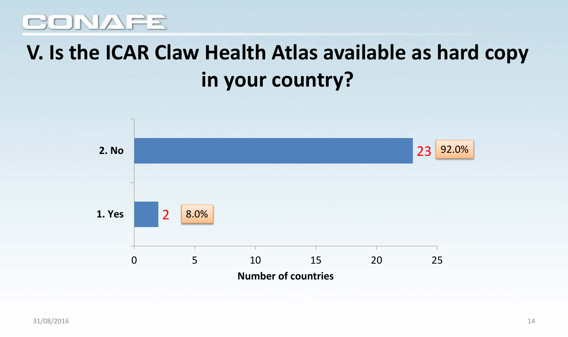#### **V. Is the ICAR Claw Health Atlas available as hard copy in your country?**

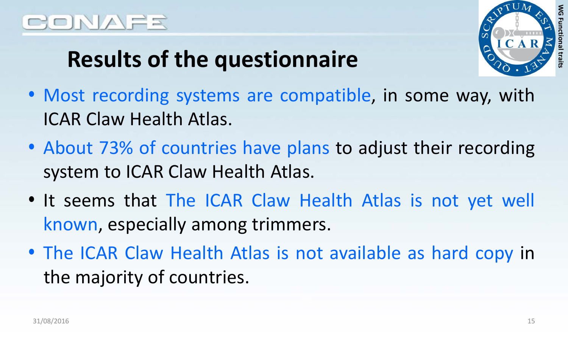

## **Results of the questionnaire**

- Most recording systems are compatible, in some way, with ICAR Claw Health Atlas.
- About 73% of countries have plans to adjust their recording system to ICAR Claw Health Atlas.
- It seems that The ICAR Claw Health Atlas is not yet well known, especially among trimmers.
- The ICAR Claw Health Atlas is not available as hard copy in the majority of countries.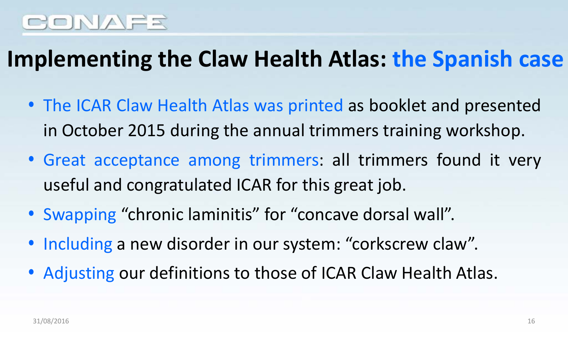### **Implementing the Claw Health Atlas: the Spanish case**

- The ICAR Claw Health Atlas was printed as booklet and presented in October 2015 during the annual trimmers training workshop.
- Great acceptance among trimmers: all trimmers found it very useful and congratulated ICAR for this great job.
- Swapping "chronic laminitis" for "concave dorsal wall".
- Including a new disorder in our system: "corkscrew claw".
- Adjusting our definitions to those of ICAR Claw Health Atlas.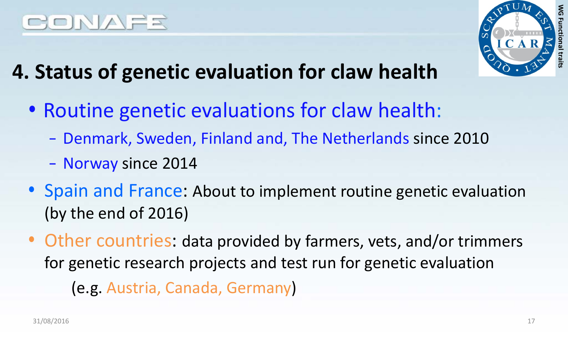



- **4. Status of genetic evaluation for claw health**
	- Routine genetic evaluations for claw health:
		- Denmark, Sweden, Finland and, The Netherlands since 2010
		- Norway since 2014
	- Spain and France: About to implement routine genetic evaluation (by the end of 2016)
	- Other countries: data provided by farmers, vets, and/or trimmers for genetic research projects and test run for genetic evaluation
		- (e.g. Austria, Canada, Germany)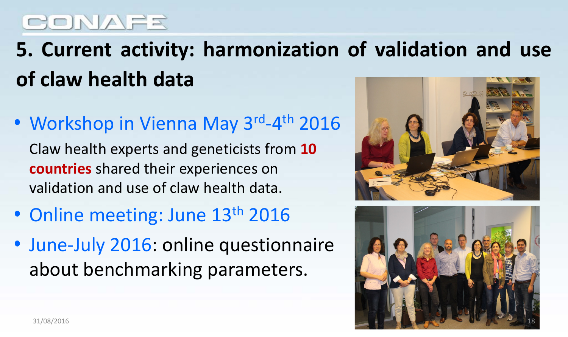**5. Current activity: harmonization of validation and use of claw health data**

• Workshop in Vienna May 3rd-4<sup>th</sup> 2016

Claw health experts and geneticists from **10 countries** shared their experiences on validation and use of claw health data.

- Online meeting: June 13<sup>th</sup> 2016
- June-July 2016: online questionnaire about benchmarking parameters.



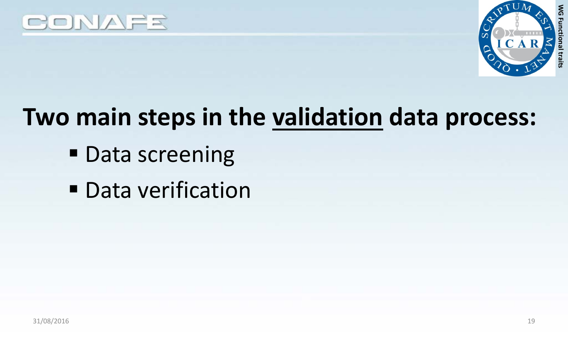



## **Two main steps in the validation data process:**

- **Data screening**
- **Data verification**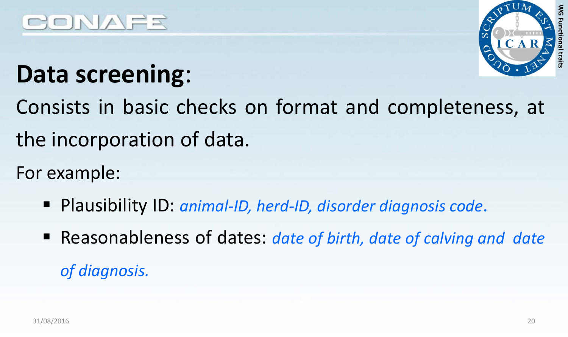



## **Data screening**:

Consists in basic checks on format and completeness, at the incorporation of data.

For example:

- Plausibility ID: *animal-ID, herd-ID, disorder diagnosis code*.
- Reasonableness of dates: *date of birth, date of calving and date of diagnosis.*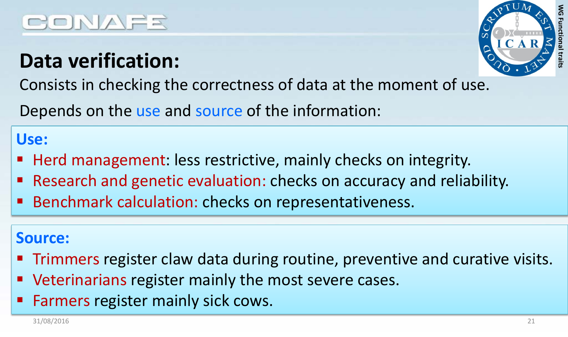# **WG Functional traits** ξ

#### **Data verification:** Consists in checking the correctness of data at the moment of use.

Depends on the use and source of the information:

#### **Use:**

- Herd management: less restrictive, mainly checks on integrity.
- Research and genetic evaluation: checks on accuracy and reliability.
- Benchmark calculation: checks on representativeness.

#### **Source:**

- Trimmers register claw data during routine, preventive and curative visits.
- Veterinarians register mainly the most severe cases.
- Farmers register mainly sick cows.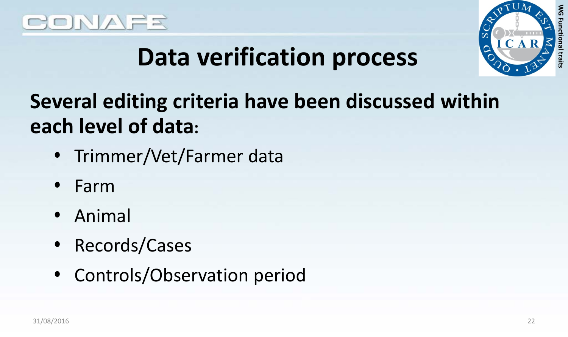



## **Data verification process**

**Several editing criteria have been discussed within each level of data:**

- Trimmer/Vet/Farmer data
- Farm
- Animal
- Records/Cases
- Controls/Observation period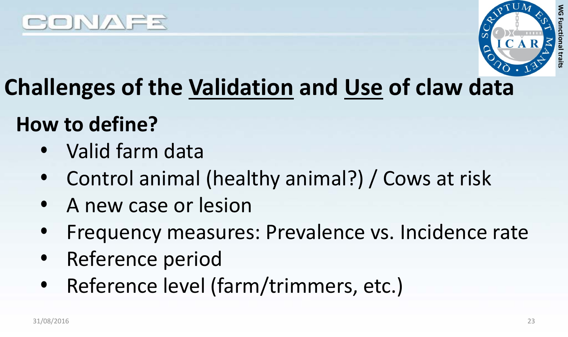



## **Challenges of the Validation and Use of claw data**

#### **How to define?**

- Valid farm data
- Control animal (healthy animal?) / Cows at risk
- A new case or lesion
- Frequency measures: Prevalence vs. Incidence rate
- Reference period
- Reference level (farm/trimmers, etc.)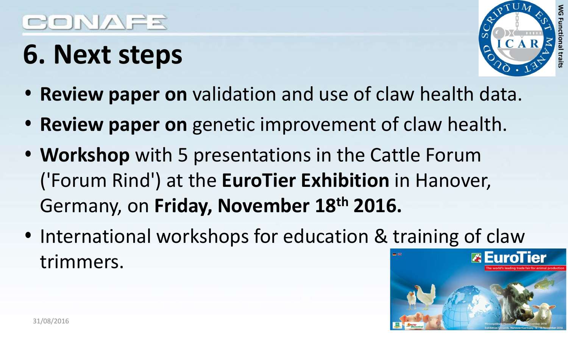## **6. Next steps**



- **Review paper on** validation and use of claw health data.
- **Review paper on** genetic improvement of claw health.
- **Workshop** with 5 presentations in the Cattle Forum ('Forum Rind') at the **EuroTier Exhibition** in Hanover, Germany, on **Friday, November 18th 2016.**
- International workshops for education & training of claw trimmers.

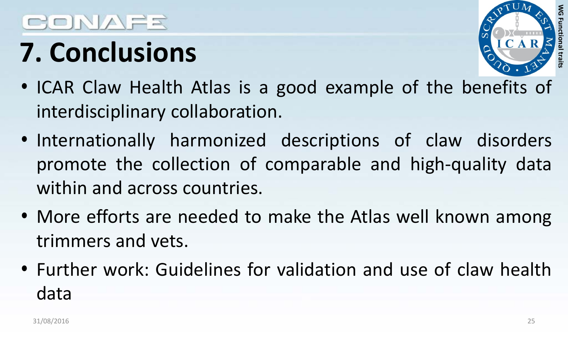# CONAFR

# **7. Conclusions**



- ICAR Claw Health Atlas is a good example of the benefits of interdisciplinary collaboration.
- Internationally harmonized descriptions of claw disorders promote the collection of comparable and high-quality data within and across countries.
- More efforts are needed to make the Atlas well known among trimmers and vets.
- Further work: Guidelines for validation and use of claw health data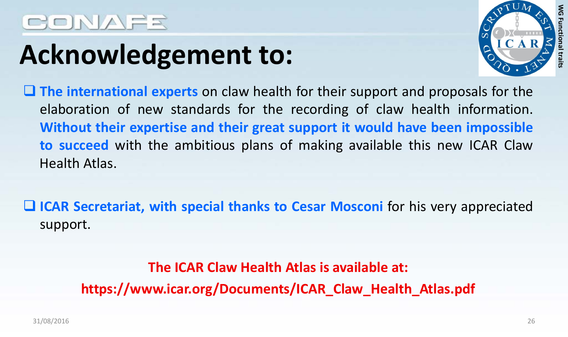## **Acknowledgement to:**



 **The international experts** on claw health for their support and proposals for the elaboration of new standards for the recording of claw health information. **Without their expertise and their great support it would have been impossible to succeed** with the ambitious plans of making available this new ICAR Claw Health Atlas.

 **ICAR Secretariat, with special thanks to Cesar Mosconi** for his very appreciated support.

> **The ICAR Claw Health Atlas is available at: https://www.icar.org/Documents/ICAR\_Claw\_Health\_Atlas.pdf**